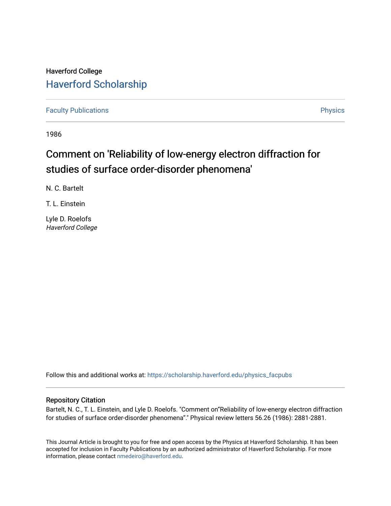## Haverford College [Haverford Scholarship](https://scholarship.haverford.edu/)

[Faculty Publications](https://scholarship.haverford.edu/physics_facpubs) **Physics** 

1986

## Comment on 'Reliability of low-energy electron diffraction for studies of surface order-disorder phenomena'

N. C. Bartelt

T. L. Einstein

Lyle D. Roelofs Haverford College

Follow this and additional works at: [https://scholarship.haverford.edu/physics\\_facpubs](https://scholarship.haverford.edu/physics_facpubs?utm_source=scholarship.haverford.edu%2Fphysics_facpubs%2F193&utm_medium=PDF&utm_campaign=PDFCoverPages) 

## Repository Citation

Bartelt, N. C., T. L. Einstein, and Lyle D. Roelofs. "Comment on "Reliability of low-energy electron diffraction for studies of surface order-disorder phenomena''." Physical review letters 56.26 (1986): 2881-2881.

This Journal Article is brought to you for free and open access by the Physics at Haverford Scholarship. It has been accepted for inclusion in Faculty Publications by an authorized administrator of Haverford Scholarship. For more information, please contact [nmedeiro@haverford.edu.](mailto:nmedeiro@haverford.edu)